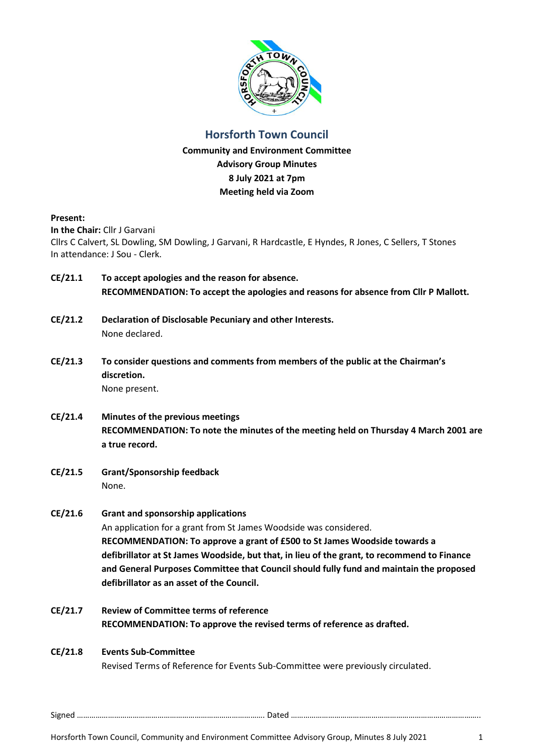

# **Horsforth Town Council**

**Community and Environment Committee Advisory Group Minutes 8 July 2021 at 7pm Meeting held via Zoom**

#### **Present:**

**In the Chair:** Cllr J Garvani

Cllrs C Calvert, SL Dowling, SM Dowling, J Garvani, R Hardcastle, E Hyndes, R Jones, C Sellers, T Stones In attendance: J Sou - Clerk.

- **CE/21.1 To accept apologies and the reason for absence. RECOMMENDATION: To accept the apologies and reasons for absence from Cllr P Mallott.**
- **CE/21.2 Declaration of Disclosable Pecuniary and other Interests.** None declared.
- **CE/21.3 To consider questions and comments from members of the public at the Chairman's discretion.** None present.
- **CE/21.4 Minutes of the previous meetings RECOMMENDATION: To note the minutes of the meeting held on Thursday 4 March 2001 are a true record.**
- **CE/21.5 Grant/Sponsorship feedback** None.

# **CE/21.6 Grant and sponsorship applications**

An application for a grant from St James Woodside was considered. **RECOMMENDATION: To approve a grant of £500 to St James Woodside towards a defibrillator at St James Woodside, but that, in lieu of the grant, to recommend to Finance and General Purposes Committee that Council should fully fund and maintain the proposed defibrillator as an asset of the Council.**

**CE/21.7 Review of Committee terms of reference RECOMMENDATION: To approve the revised terms of reference as drafted.**

# **CE/21.8 Events Sub-Committee**

Revised Terms of Reference for Events Sub-Committee were previously circulated.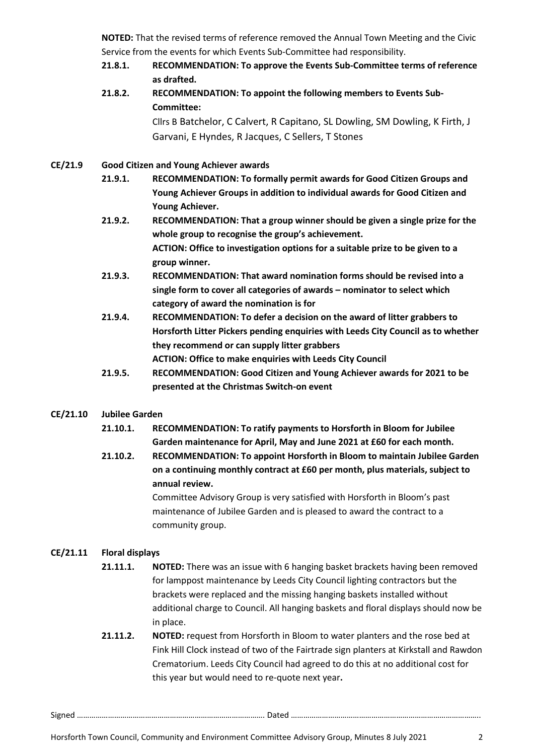**NOTED:** That the revised terms of reference removed the Annual Town Meeting and the Civic Service from the events for which Events Sub-Committee had responsibility.

- **21.8.1. RECOMMENDATION: To approve the Events Sub-Committee terms of reference as drafted.**
- **21.8.2. RECOMMENDATION: To appoint the following members to Events Sub-Committee:**

Cllrs B Batchelor, C Calvert, R Capitano, SL Dowling, SM Dowling, K Firth, J Garvani, E Hyndes, R Jacques, C Sellers, T Stones

# **CE/21.9 Good Citizen and Young Achiever awards**

- **21.9.1. RECOMMENDATION: To formally permit awards for Good Citizen Groups and Young Achiever Groups in addition to individual awards for Good Citizen and Young Achiever.**
- **21.9.2. RECOMMENDATION: That a group winner should be given a single prize for the whole group to recognise the group's achievement. ACTION: Office to investigation options for a suitable prize to be given to a group winner.**
- **21.9.3. RECOMMENDATION: That award nomination forms should be revised into a single form to cover all categories of awards – nominator to select which category of award the nomination is for**
- **21.9.4. RECOMMENDATION: To defer a decision on the award of litter grabbers to Horsforth Litter Pickers pending enquiries with Leeds City Council as to whether they recommend or can supply litter grabbers ACTION: Office to make enquiries with Leeds City Council**
- **21.9.5. RECOMMENDATION: Good Citizen and Young Achiever awards for 2021 to be presented at the Christmas Switch-on event**

# **CE/21.10 Jubilee Garden**

- **21.10.1. RECOMMENDATION: To ratify payments to Horsforth in Bloom for Jubilee Garden maintenance for April, May and June 2021 at £60 for each month.**
- **21.10.2. RECOMMENDATION: To appoint Horsforth in Bloom to maintain Jubilee Garden on a continuing monthly contract at £60 per month, plus materials, subject to annual review.**

Committee Advisory Group is very satisfied with Horsforth in Bloom's past maintenance of Jubilee Garden and is pleased to award the contract to a community group.

# **CE/21.11 Floral displays**

- **21.11.1. NOTED:** There was an issue with 6 hanging basket brackets having been removed for lamppost maintenance by Leeds City Council lighting contractors but the brackets were replaced and the missing hanging baskets installed without additional charge to Council. All hanging baskets and floral displays should now be in place.
- **21.11.2. NOTED:** request from Horsforth in Bloom to water planters and the rose bed at Fink Hill Clock instead of two of the Fairtrade sign planters at Kirkstall and Rawdon Crematorium. Leeds City Council had agreed to do this at no additional cost for this year but would need to re-quote next year**.**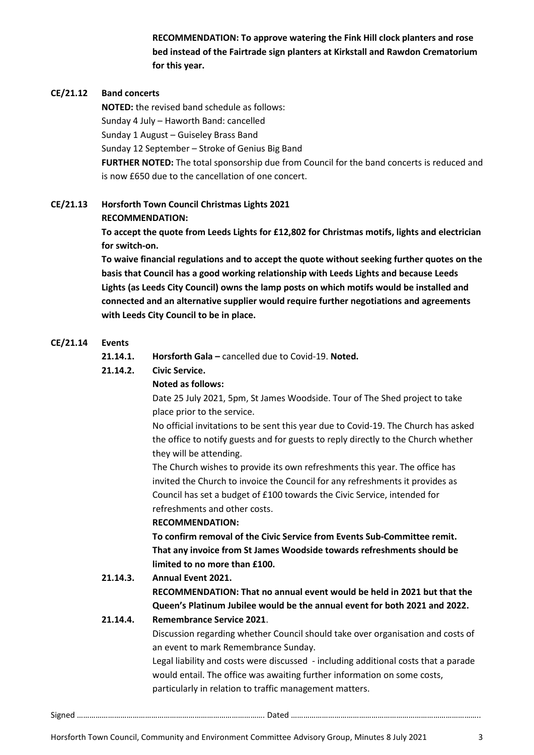**RECOMMENDATION: To approve watering the Fink Hill clock planters and rose bed instead of the Fairtrade sign planters at Kirkstall and Rawdon Crematorium for this year.**

# **CE/21.12 Band concerts**

**NOTED:** the revised band schedule as follows: Sunday 4 July – Haworth Band: cancelled Sunday 1 August – Guiseley Brass Band Sunday 12 September – Stroke of Genius Big Band **FURTHER NOTED:** The total sponsorship due from Council for the band concerts is reduced and is now £650 due to the cancellation of one concert.

# **CE/21.13 Horsforth Town Council Christmas Lights 2021**

#### **RECOMMENDATION:**

**To accept the quote from Leeds Lights for £12,802 for Christmas motifs, lights and electrician for switch-on.** 

**To waive financial regulations and to accept the quote without seeking further quotes on the basis that Council has a good working relationship with Leeds Lights and because Leeds Lights (as Leeds City Council) owns the lamp posts on which motifs would be installed and connected and an alternative supplier would require further negotiations and agreements with Leeds City Council to be in place.**

#### **CE/21.14 Events**

- **21.14.1. Horsforth Gala –** cancelled due to Covid-19. **Noted.**
- **21.14.2. Civic Service.**

# **Noted as follows:**

Date 25 July 2021, 5pm, St James Woodside. Tour of The Shed project to take place prior to the service.

No official invitations to be sent this year due to Covid-19. The Church has asked the office to notify guests and for guests to reply directly to the Church whether they will be attending.

The Church wishes to provide its own refreshments this year. The office has invited the Church to invoice the Council for any refreshments it provides as Council has set a budget of £100 towards the Civic Service, intended for refreshments and other costs.

#### **RECOMMENDATION:**

**To confirm removal of the Civic Service from Events Sub-Committee remit. That any invoice from St James Woodside towards refreshments should be limited to no more than £100.** 

# **21.14.3. Annual Event 2021.**

**RECOMMENDATION: That no annual event would be held in 2021 but that the Queen's Platinum Jubilee would be the annual event for both 2021 and 2022.**

#### **21.14.4. Remembrance Service 2021**.

Discussion regarding whether Council should take over organisation and costs of an event to mark Remembrance Sunday.

Legal liability and costs were discussed - including additional costs that a parade would entail. The office was awaiting further information on some costs, particularly in relation to traffic management matters.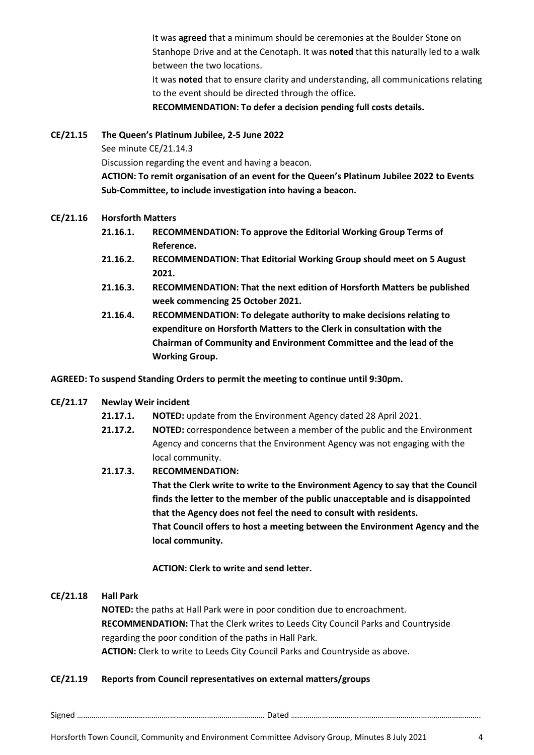It was **agreed** that a minimum should be ceremonies at the Boulder Stone on Stanhope Drive and at the Cenotaph. It was **noted** that this naturally led to a walk between the two locations.

It was **noted** that to ensure clarity and understanding, all communications relating to the event should be directed through the office.

**RECOMMENDATION: To defer a decision pending full costs details.**

#### **CE/21.15 The Queen's Platinum Jubilee, 2-5 June 2022**

See minute CE/21.14.3

Discussion regarding the event and having a beacon.

**ACTION: To remit organisation of an event for the Queen's Platinum Jubilee 2022 to Events Sub-Committee, to include investigation into having a beacon.**

#### **CE/21.16 Horsforth Matters**

- **21.16.1. RECOMMENDATION: To approve the Editorial Working Group Terms of Reference.**
- **21.16.2. RECOMMENDATION: That Editorial Working Group should meet on 5 August 2021.**
- **21.16.3. RECOMMENDATION: That the next edition of Horsforth Matters be published week commencing 25 October 2021.**
- **21.16.4. RECOMMENDATION: To delegate authority to make decisions relating to expenditure on Horsforth Matters to the Clerk in consultation with the Chairman of Community and Environment Committee and the lead of the Working Group.**

#### **AGREED: To suspend Standing Orders to permit the meeting to continue until 9:30pm.**

# **CE/21.17 Newlay Weir incident**

- **21.17.1. NOTED:** update from the Environment Agency dated 28 April 2021.
- **21.17.2. NOTED:** correspondence between a member of the public and the Environment Agency and concerns that the Environment Agency was not engaging with the local community.

#### **21.17.3. RECOMMENDATION:**

**That the Clerk write to write to the Environment Agency to say that the Council finds the letter to the member of the public unacceptable and is disappointed that the Agency does not feel the need to consult with residents. That Council offers to host a meeting between the Environment Agency and the local community.** 

# **ACTION: Clerk to write and send letter.**

#### **CE/21.18 Hall Park**

**NOTED:** the paths at Hall Park were in poor condition due to encroachment. **RECOMMENDATION:** That the Clerk writes to Leeds City Council Parks and Countryside regarding the poor condition of the paths in Hall Park. **ACTION:** Clerk to write to Leeds City Council Parks and Countryside as above.

# **CE/21.19 Reports from Council representatives on external matters/groups**

Signed ………………………………………………………………………………. Dated ………………………………………………………………………………..

Horsforth Town Council, Community and Environment Committee Advisory Group, Minutes 8 July 2021 4